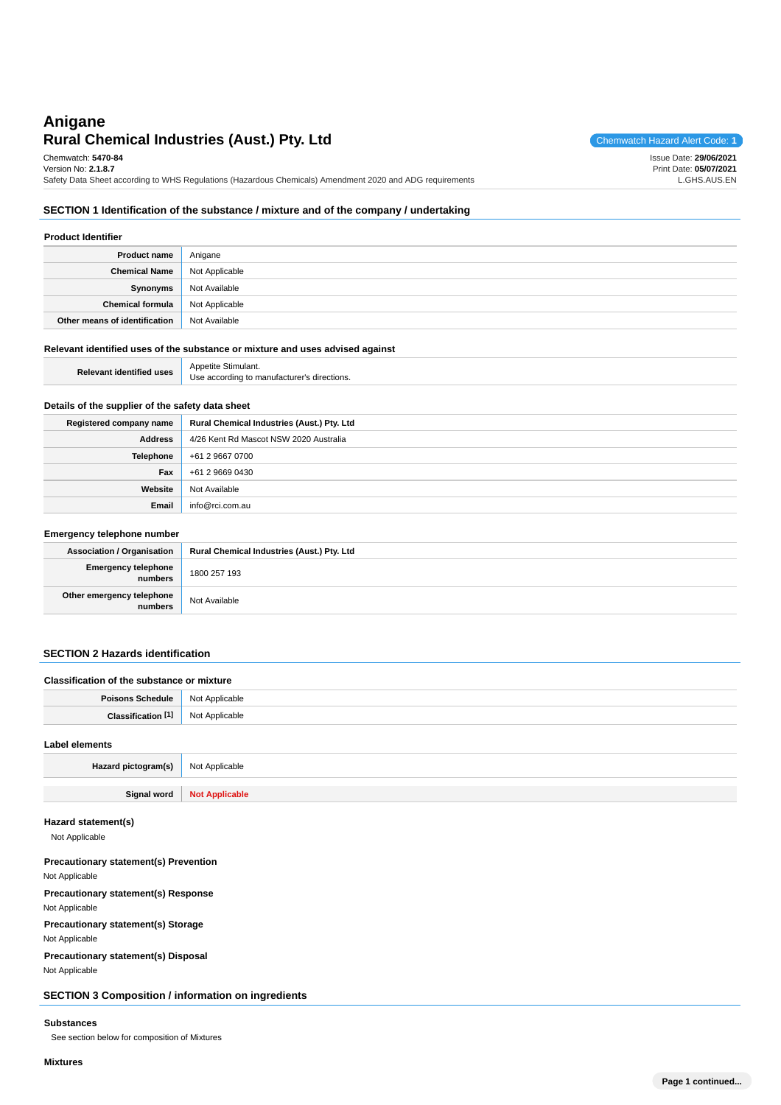# **Rural Chemical Industries (Aust.) Pty. Ltd** Chemwatch Hazard Alert Code: 1 **Anigane**

Issue Date: **29/06/2021** Print Date: **05/07/2021** L.GHS.AUS.EN

Chemwatch: **5470-84**

Version No: **2.1.8.7** Safety Data Sheet according to WHS Regulations (Hazardous Chemicals) Amendment 2020 and ADG requirements

### **SECTION 1 Identification of the substance / mixture and of the company / undertaking**

| <b>Product Identifier</b>     |                |  |  |
|-------------------------------|----------------|--|--|
| <b>Product name</b>           | Anigane        |  |  |
| <b>Chemical Name</b>          | Not Applicable |  |  |
| Synonyms                      | Not Available  |  |  |
| Chemical formula              | Not Applicable |  |  |
| Other means of identification | Not Available  |  |  |

#### **Relevant identified uses of the substance or mixture and uses advised against**

| <b>Relevant identified uses</b> | Appetite Stimulant.                         |
|---------------------------------|---------------------------------------------|
|                                 | Use according to manufacturer's directions. |

### **Details of the supplier of the safety data sheet**

| Registered company name | Rural Chemical Industries (Aust.) Pty. Ltd |
|-------------------------|--------------------------------------------|
| <b>Address</b>          | 4/26 Kent Rd Mascot NSW 2020 Australia     |
| Telephone               | +61 2 9667 0700                            |
| Fax                     | +61 2 9669 0430                            |
| Website                 | Not Available                              |
| Email                   | info@rci.com.au                            |

#### **Emergency telephone number**

| <b>Association / Organisation</b>    | Rural Chemical Industries (Aust.) Pty. Ltd |
|--------------------------------------|--------------------------------------------|
| Emergency telephone<br>numbers       | 1800 257 193                               |
| Other emergency telephone<br>numbers | Not Available                              |

### **SECTION 2 Hazards identification**

| Classification of the substance or mixture |                |  |  |
|--------------------------------------------|----------------|--|--|
| Poisons Schedule   Not Applicable          |                |  |  |
| <b>Classification [1]</b> Not Applicable   |                |  |  |
| Label elements                             |                |  |  |
| Hazard pictogram(s)                        | Not Applicable |  |  |

**Signal word Not Applicable**

### **Hazard statement(s)**

Not Applicable

### **Precautionary statement(s) Prevention**

Not Applicable

### **Precautionary statement(s) Response**

Not Applicable

### **Precautionary statement(s) Storage**

Not Applicable

## **Precautionary statement(s) Disposal**

Not Applicable

### **SECTION 3 Composition / information on ingredients**

### **Substances**

See section below for composition of Mixtures

### **Mixtures**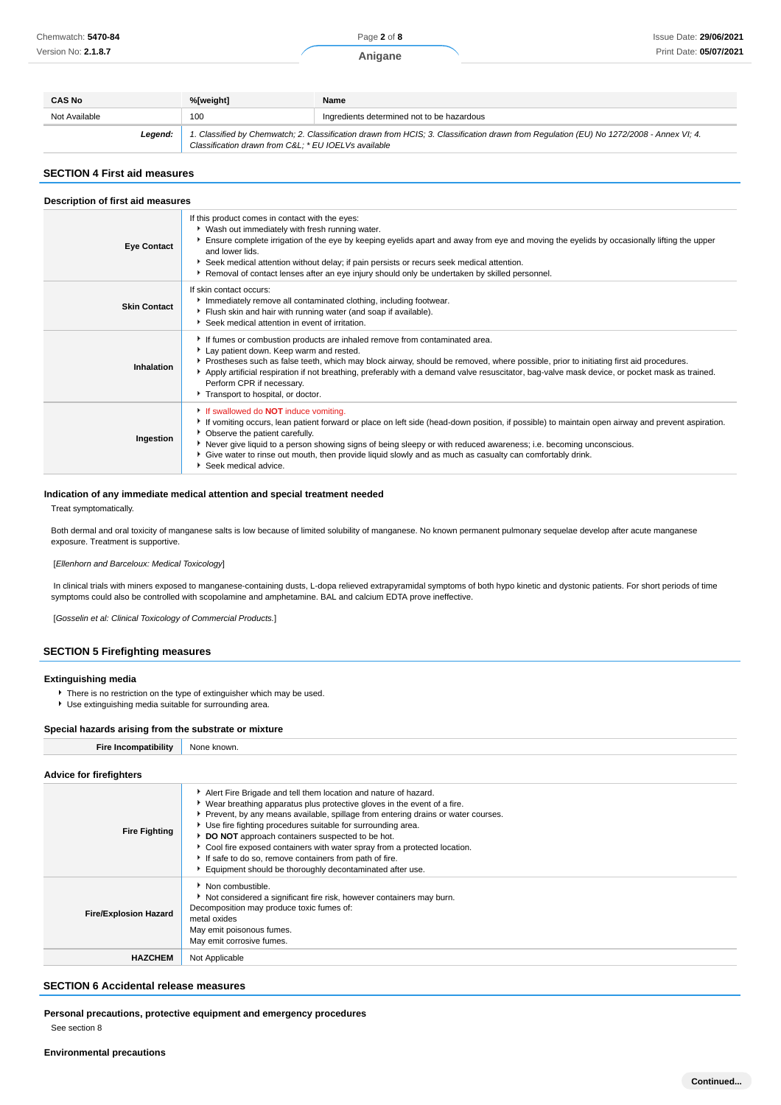Page **2** of **8**

**Anigane**

| <b>CAS No</b> | %[weight]<br>Name                                                                                                                                                                              |                                            |  |
|---------------|------------------------------------------------------------------------------------------------------------------------------------------------------------------------------------------------|--------------------------------------------|--|
| Not Available | 100                                                                                                                                                                                            | Ingredients determined not to be hazardous |  |
| Legend:       | 1. Classified by Chemwatch; 2. Classification drawn from HCIS; 3. Classification drawn from Regulation (EU) No 1272/2008 - Annex VI; 4.<br>Classification drawn from C&L * EU IOELVs available |                                            |  |

#### **SECTION 4 First aid measures**

| Description of first aid measures |                                                                                                                                                                                                                                                                                                                                                                                                                                                                                                  |  |  |
|-----------------------------------|--------------------------------------------------------------------------------------------------------------------------------------------------------------------------------------------------------------------------------------------------------------------------------------------------------------------------------------------------------------------------------------------------------------------------------------------------------------------------------------------------|--|--|
| <b>Eye Contact</b>                | If this product comes in contact with the eyes:<br>Vash out immediately with fresh running water.<br>Ensure complete irrigation of the eye by keeping eyelids apart and away from eye and moving the eyelids by occasionally lifting the upper<br>and lower lids.<br>Seek medical attention without delay; if pain persists or recurs seek medical attention.<br>Removal of contact lenses after an eye injury should only be undertaken by skilled personnel.                                   |  |  |
| <b>Skin Contact</b>               | If skin contact occurs:<br>Immediately remove all contaminated clothing, including footwear.<br>Flush skin and hair with running water (and soap if available).<br>Seek medical attention in event of irritation.                                                                                                                                                                                                                                                                                |  |  |
| Inhalation                        | If fumes or combustion products are inhaled remove from contaminated area.<br>Lay patient down. Keep warm and rested.<br>▶ Prostheses such as false teeth, which may block airway, should be removed, where possible, prior to initiating first aid procedures.<br>Apply artificial respiration if not breathing, preferably with a demand valve resuscitator, bag-valve mask device, or pocket mask as trained.<br>Perform CPR if necessary.<br>Transport to hospital, or doctor.               |  |  |
| Ingestion                         | If swallowed do <b>NOT</b> induce vomiting.<br>If vomiting occurs, lean patient forward or place on left side (head-down position, if possible) to maintain open airway and prevent aspiration.<br>• Observe the patient carefully.<br>▶ Never give liquid to a person showing signs of being sleepy or with reduced awareness; i.e. becoming unconscious.<br>► Give water to rinse out mouth, then provide liquid slowly and as much as casualty can comfortably drink.<br>Seek medical advice. |  |  |

#### **Indication of any immediate medical attention and special treatment needed**

Treat symptomatically.

Both dermal and oral toxicity of manganese salts is low because of limited solubility of manganese. No known permanent pulmonary sequelae develop after acute manganese exposure. Treatment is supportive.

[Ellenhorn and Barceloux: Medical Toxicology]

In clinical trials with miners exposed to manganese-containing dusts, L-dopa relieved extrapyramidal symptoms of both hypo kinetic and dystonic patients. For short periods of time symptoms could also be controlled with scopolamine and amphetamine. BAL and calcium EDTA prove ineffective.

[Gosselin et al: Clinical Toxicology of Commercial Products.]

#### **SECTION 5 Firefighting measures**

#### **Extinguishing media**

- There is no restriction on the type of extinguisher which may be used.
- Use extinguishing media suitable for surrounding area.

#### **Special hazards arising from the substrate or mixture**

| <b>LIP.</b><br>ombatibilit\<br>. | ∖l∩r<br>KNOWN.<br>งเภาะ |
|----------------------------------|-------------------------|
|                                  |                         |

#### **Advice for firefighters Fire Fighting** Alert Fire Brigade and tell them location and nature of hazard. Wear breathing apparatus plus protective gloves in the event of a fire. Prevent, by any means available, spillage from entering drains or water courses. Use fire fighting procedures suitable for surrounding area. **DO NOT** approach containers suspected to be hot. Cool fire exposed containers with water spray from a protected location. If safe to do so, remove containers from path of fire. Equipment should be thoroughly decontaminated after use. **Fire/Explosion Hazard** ▶ Non combustible. Not considered a significant fire risk, however containers may burn. Decomposition may produce toxic fumes of: metal oxides May emit poisonous fumes. May emit corrosive fumes. **HAZCHEM** Not Applicable

### **SECTION 6 Accidental release measures**

**Personal precautions, protective equipment and emergency procedures**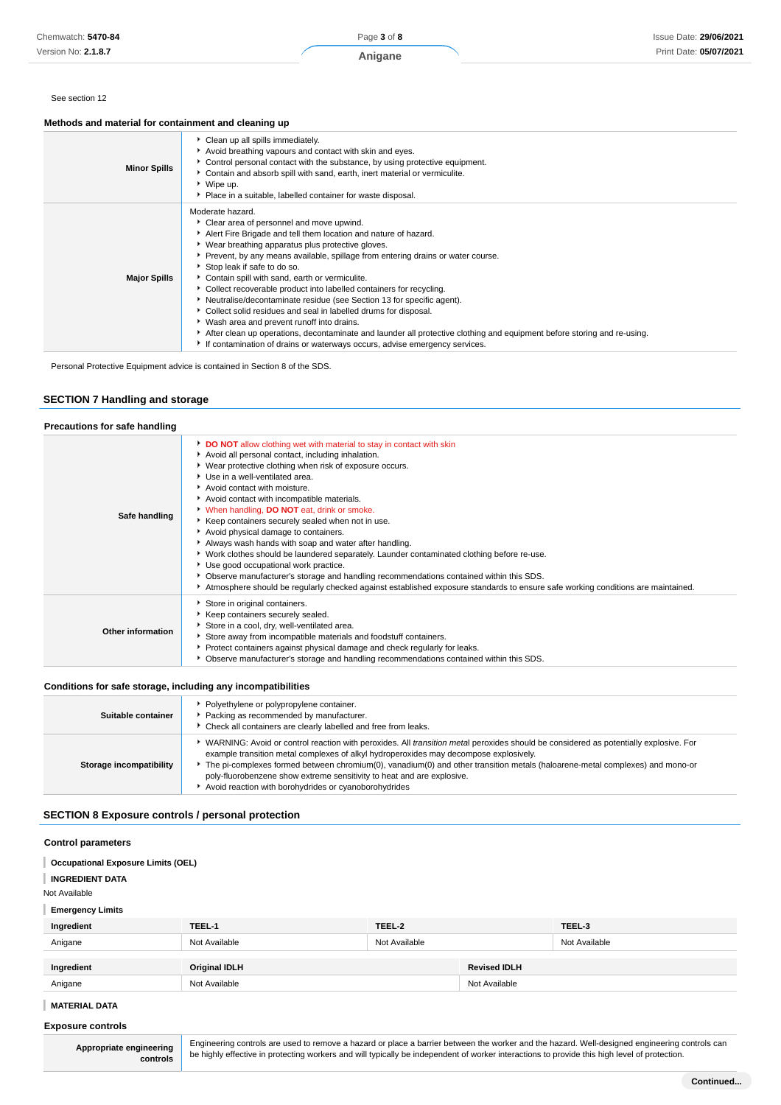### Issue Date: **29/06/2021** Print Date: **05/07/2021**

#### See section 12

### **Methods and material for containment and cleaning up**

| <b>Minor Spills</b> | Clean up all spills immediately.<br>Avoid breathing vapours and contact with skin and eyes.<br>▶ Control personal contact with the substance, by using protective equipment.<br>Contain and absorb spill with sand, earth, inert material or vermiculite.<br>▶ Wipe up.<br>• Place in a suitable, labelled container for waste disposal.                                                                                                                                                                                                                                                                                                                                                                                                                                                                                                     |
|---------------------|----------------------------------------------------------------------------------------------------------------------------------------------------------------------------------------------------------------------------------------------------------------------------------------------------------------------------------------------------------------------------------------------------------------------------------------------------------------------------------------------------------------------------------------------------------------------------------------------------------------------------------------------------------------------------------------------------------------------------------------------------------------------------------------------------------------------------------------------|
| <b>Major Spills</b> | Moderate hazard.<br>• Clear area of personnel and move upwind.<br>Alert Fire Brigade and tell them location and nature of hazard.<br>▶ Wear breathing apparatus plus protective gloves.<br>▶ Prevent, by any means available, spillage from entering drains or water course.<br>Stop leak if safe to do so.<br>Contain spill with sand, earth or vermiculite.<br>• Collect recoverable product into labelled containers for recycling.<br>Neutralise/decontaminate residue (see Section 13 for specific agent).<br>▶ Collect solid residues and seal in labelled drums for disposal.<br>• Wash area and prevent runoff into drains.<br>After clean up operations, decontaminate and launder all protective clothing and equipment before storing and re-using.<br>If contamination of drains or waterways occurs, advise emergency services. |

Personal Protective Equipment advice is contained in Section 8 of the SDS.

### **SECTION 7 Handling and storage**

### **Precautions for safe handling**

| Safe handling     | DO NOT allow clothing wet with material to stay in contact with skin<br>Avoid all personal contact, including inhalation.<br>▶ Wear protective clothing when risk of exposure occurs.<br>Use in a well-ventilated area.<br>Avoid contact with moisture.<br>Avoid contact with incompatible materials.<br>When handling, DO NOT eat, drink or smoke.<br>Keep containers securely sealed when not in use.<br>Avoid physical damage to containers.<br>Always wash hands with soap and water after handling.<br>▶ Work clothes should be laundered separately. Launder contaminated clothing before re-use.<br>Use good occupational work practice.<br>▶ Observe manufacturer's storage and handling recommendations contained within this SDS.<br>Atmosphere should be regularly checked against established exposure standards to ensure safe working conditions are maintained. |
|-------------------|--------------------------------------------------------------------------------------------------------------------------------------------------------------------------------------------------------------------------------------------------------------------------------------------------------------------------------------------------------------------------------------------------------------------------------------------------------------------------------------------------------------------------------------------------------------------------------------------------------------------------------------------------------------------------------------------------------------------------------------------------------------------------------------------------------------------------------------------------------------------------------|
| Other information | Store in original containers.<br>Keep containers securely sealed.<br>Store in a cool, dry, well-ventilated area.<br>Store away from incompatible materials and foodstuff containers.<br>Protect containers against physical damage and check regularly for leaks.<br>• Observe manufacturer's storage and handling recommendations contained within this SDS.                                                                                                                                                                                                                                                                                                                                                                                                                                                                                                                  |

### **Conditions for safe storage, including any incompatibilities**

| Suitable container      | Polyethylene or polypropylene container.<br>Packing as recommended by manufacturer.<br>Check all containers are clearly labelled and free from leaks.                                                                                                                                                                                                                                                                                                                                                   |
|-------------------------|---------------------------------------------------------------------------------------------------------------------------------------------------------------------------------------------------------------------------------------------------------------------------------------------------------------------------------------------------------------------------------------------------------------------------------------------------------------------------------------------------------|
| Storage incompatibility | WARNING: Avoid or control reaction with peroxides. All <i>transition metal</i> peroxides should be considered as potentially explosive. For<br>example transition metal complexes of alkyl hydroperoxides may decompose explosively.<br>The pi-complexes formed between chromium(0), vanadium(0) and other transition metals (haloarene-metal complexes) and mono-or<br>poly-fluorobenzene show extreme sensitivity to heat and are explosive.<br>Avoid reaction with borohydrides or cyanoborohydrides |

### **SECTION 8 Exposure controls / personal protection**

#### **Control parameters**

| <b>Occupational Exposure Limits (OEL)</b> |                      |               |                     |               |
|-------------------------------------------|----------------------|---------------|---------------------|---------------|
| <b>INGREDIENT DATA</b>                    |                      |               |                     |               |
| Not Available                             |                      |               |                     |               |
| <b>Emergency Limits</b>                   |                      |               |                     |               |
| Ingredient                                | TEEL-1               | TEEL-2        |                     | TEEL-3        |
| Anigane                                   | Not Available        | Not Available |                     | Not Available |
|                                           |                      |               |                     |               |
| Ingredient                                | <b>Original IDLH</b> |               | <b>Revised IDLH</b> |               |
| Anigane                                   | Not Available        |               | Not Available       |               |
|                                           |                      |               |                     |               |

### **MATERIAL DATA**

#### **Exposure controls**

**Appropriate engineering controls**

Engineering controls are used to remove a hazard or place a barrier between the worker and the hazard. Well-designed engineering controls can be highly effective in protecting workers and will typically be independent of worker interactions to provide this high level of protection.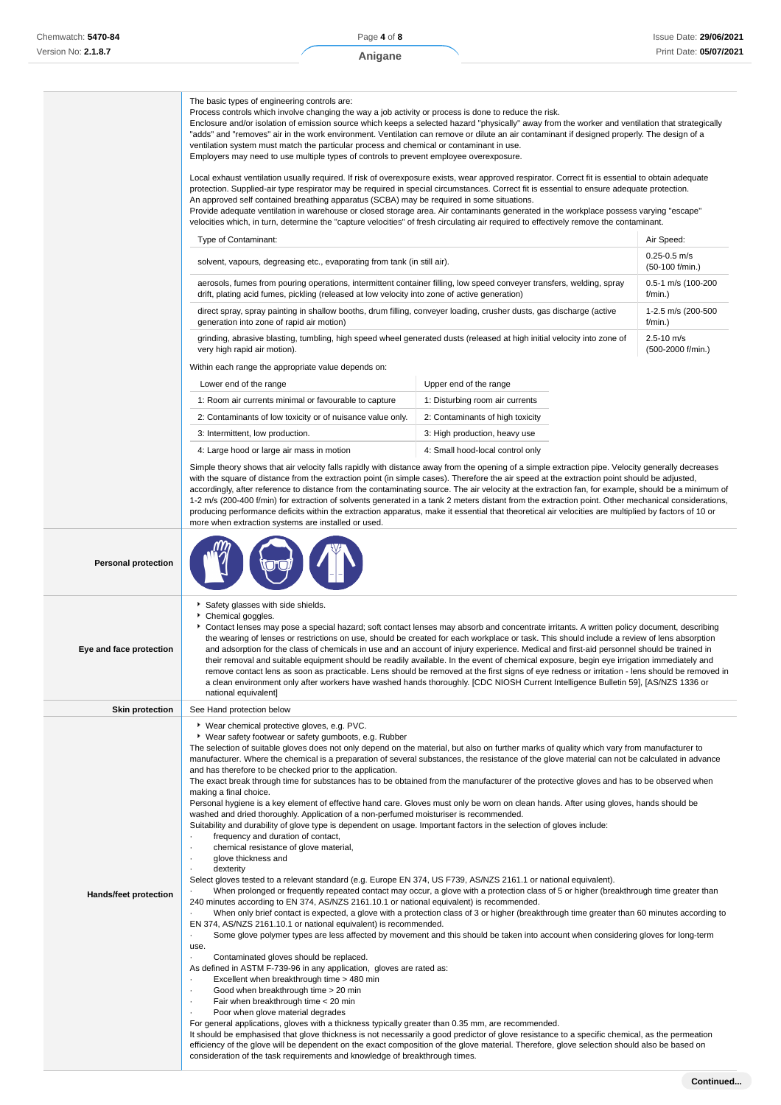|                            | The basic types of engineering controls are:<br>Process controls which involve changing the way a job activity or process is done to reduce the risk.<br>Enclosure and/or isolation of emission source which keeps a selected hazard "physically" away from the worker and ventilation that strategically<br>"adds" and "removes" air in the work environment. Ventilation can remove or dilute an air contaminant if designed properly. The design of a<br>ventilation system must match the particular process and chemical or contaminant in use.<br>Employers may need to use multiple types of controls to prevent employee overexposure.<br>Local exhaust ventilation usually required. If risk of overexposure exists, wear approved respirator. Correct fit is essential to obtain adequate                                                                                                                                                                                                                                                                                                                                                                                                                                                                                                                                                                                                                                                                                                                                                                                                                                                                                                                                                                                                                                                                                                                                                                                                                                                                                                                                                                                                                                                                                                                                                                                                                                                                                                                                                                                                          |                                  |                                        |
|----------------------------|--------------------------------------------------------------------------------------------------------------------------------------------------------------------------------------------------------------------------------------------------------------------------------------------------------------------------------------------------------------------------------------------------------------------------------------------------------------------------------------------------------------------------------------------------------------------------------------------------------------------------------------------------------------------------------------------------------------------------------------------------------------------------------------------------------------------------------------------------------------------------------------------------------------------------------------------------------------------------------------------------------------------------------------------------------------------------------------------------------------------------------------------------------------------------------------------------------------------------------------------------------------------------------------------------------------------------------------------------------------------------------------------------------------------------------------------------------------------------------------------------------------------------------------------------------------------------------------------------------------------------------------------------------------------------------------------------------------------------------------------------------------------------------------------------------------------------------------------------------------------------------------------------------------------------------------------------------------------------------------------------------------------------------------------------------------------------------------------------------------------------------------------------------------------------------------------------------------------------------------------------------------------------------------------------------------------------------------------------------------------------------------------------------------------------------------------------------------------------------------------------------------------------------------------------------------------------------------------------------------|----------------------------------|----------------------------------------|
|                            | protection. Supplied-air type respirator may be required in special circumstances. Correct fit is essential to ensure adequate protection.<br>An approved self contained breathing apparatus (SCBA) may be required in some situations.<br>Provide adequate ventilation in warehouse or closed storage area. Air contaminants generated in the workplace possess varying "escape"<br>velocities which, in turn, determine the "capture velocities" of fresh circulating air required to effectively remove the contaminant.                                                                                                                                                                                                                                                                                                                                                                                                                                                                                                                                                                                                                                                                                                                                                                                                                                                                                                                                                                                                                                                                                                                                                                                                                                                                                                                                                                                                                                                                                                                                                                                                                                                                                                                                                                                                                                                                                                                                                                                                                                                                                  |                                  |                                        |
|                            | Type of Contaminant:                                                                                                                                                                                                                                                                                                                                                                                                                                                                                                                                                                                                                                                                                                                                                                                                                                                                                                                                                                                                                                                                                                                                                                                                                                                                                                                                                                                                                                                                                                                                                                                                                                                                                                                                                                                                                                                                                                                                                                                                                                                                                                                                                                                                                                                                                                                                                                                                                                                                                                                                                                                         |                                  | Air Speed:                             |
|                            | solvent, vapours, degreasing etc., evaporating from tank (in still air).                                                                                                                                                                                                                                                                                                                                                                                                                                                                                                                                                                                                                                                                                                                                                                                                                                                                                                                                                                                                                                                                                                                                                                                                                                                                                                                                                                                                                                                                                                                                                                                                                                                                                                                                                                                                                                                                                                                                                                                                                                                                                                                                                                                                                                                                                                                                                                                                                                                                                                                                     |                                  | $0.25 - 0.5$ m/s<br>$(50-100)$ f/min.) |
|                            | aerosols, fumes from pouring operations, intermittent container filling, low speed conveyer transfers, welding, spray<br>drift, plating acid fumes, pickling (released at low velocity into zone of active generation)                                                                                                                                                                                                                                                                                                                                                                                                                                                                                                                                                                                                                                                                                                                                                                                                                                                                                                                                                                                                                                                                                                                                                                                                                                                                                                                                                                                                                                                                                                                                                                                                                                                                                                                                                                                                                                                                                                                                                                                                                                                                                                                                                                                                                                                                                                                                                                                       |                                  | 0.5-1 m/s (100-200<br>f/min.)          |
|                            | direct spray, spray painting in shallow booths, drum filling, conveyer loading, crusher dusts, gas discharge (active<br>generation into zone of rapid air motion)                                                                                                                                                                                                                                                                                                                                                                                                                                                                                                                                                                                                                                                                                                                                                                                                                                                                                                                                                                                                                                                                                                                                                                                                                                                                                                                                                                                                                                                                                                                                                                                                                                                                                                                                                                                                                                                                                                                                                                                                                                                                                                                                                                                                                                                                                                                                                                                                                                            |                                  | 1-2.5 m/s (200-500<br>f/min.)          |
|                            | grinding, abrasive blasting, tumbling, high speed wheel generated dusts (released at high initial velocity into zone of<br>very high rapid air motion).                                                                                                                                                                                                                                                                                                                                                                                                                                                                                                                                                                                                                                                                                                                                                                                                                                                                                                                                                                                                                                                                                                                                                                                                                                                                                                                                                                                                                                                                                                                                                                                                                                                                                                                                                                                                                                                                                                                                                                                                                                                                                                                                                                                                                                                                                                                                                                                                                                                      |                                  | 2.5-10 m/s<br>(500-2000 f/min.)        |
|                            | Within each range the appropriate value depends on:                                                                                                                                                                                                                                                                                                                                                                                                                                                                                                                                                                                                                                                                                                                                                                                                                                                                                                                                                                                                                                                                                                                                                                                                                                                                                                                                                                                                                                                                                                                                                                                                                                                                                                                                                                                                                                                                                                                                                                                                                                                                                                                                                                                                                                                                                                                                                                                                                                                                                                                                                          |                                  |                                        |
|                            | Lower end of the range                                                                                                                                                                                                                                                                                                                                                                                                                                                                                                                                                                                                                                                                                                                                                                                                                                                                                                                                                                                                                                                                                                                                                                                                                                                                                                                                                                                                                                                                                                                                                                                                                                                                                                                                                                                                                                                                                                                                                                                                                                                                                                                                                                                                                                                                                                                                                                                                                                                                                                                                                                                       | Upper end of the range           |                                        |
|                            | 1: Room air currents minimal or favourable to capture                                                                                                                                                                                                                                                                                                                                                                                                                                                                                                                                                                                                                                                                                                                                                                                                                                                                                                                                                                                                                                                                                                                                                                                                                                                                                                                                                                                                                                                                                                                                                                                                                                                                                                                                                                                                                                                                                                                                                                                                                                                                                                                                                                                                                                                                                                                                                                                                                                                                                                                                                        | 1: Disturbing room air currents  |                                        |
|                            | 2: Contaminants of low toxicity or of nuisance value only.                                                                                                                                                                                                                                                                                                                                                                                                                                                                                                                                                                                                                                                                                                                                                                                                                                                                                                                                                                                                                                                                                                                                                                                                                                                                                                                                                                                                                                                                                                                                                                                                                                                                                                                                                                                                                                                                                                                                                                                                                                                                                                                                                                                                                                                                                                                                                                                                                                                                                                                                                   | 2: Contaminants of high toxicity |                                        |
|                            | 3: Intermittent, low production.                                                                                                                                                                                                                                                                                                                                                                                                                                                                                                                                                                                                                                                                                                                                                                                                                                                                                                                                                                                                                                                                                                                                                                                                                                                                                                                                                                                                                                                                                                                                                                                                                                                                                                                                                                                                                                                                                                                                                                                                                                                                                                                                                                                                                                                                                                                                                                                                                                                                                                                                                                             | 3: High production, heavy use    |                                        |
|                            | 4: Large hood or large air mass in motion                                                                                                                                                                                                                                                                                                                                                                                                                                                                                                                                                                                                                                                                                                                                                                                                                                                                                                                                                                                                                                                                                                                                                                                                                                                                                                                                                                                                                                                                                                                                                                                                                                                                                                                                                                                                                                                                                                                                                                                                                                                                                                                                                                                                                                                                                                                                                                                                                                                                                                                                                                    | 4: Small hood-local control only |                                        |
|                            | Simple theory shows that air velocity falls rapidly with distance away from the opening of a simple extraction pipe. Velocity generally decreases<br>with the square of distance from the extraction point (in simple cases). Therefore the air speed at the extraction point should be adjusted,<br>accordingly, after reference to distance from the contaminating source. The air velocity at the extraction fan, for example, should be a minimum of<br>1-2 m/s (200-400 f/min) for extraction of solvents generated in a tank 2 meters distant from the extraction point. Other mechanical considerations,<br>producing performance deficits within the extraction apparatus, make it essential that theoretical air velocities are multiplied by factors of 10 or<br>more when extraction systems are installed or used.                                                                                                                                                                                                                                                                                                                                                                                                                                                                                                                                                                                                                                                                                                                                                                                                                                                                                                                                                                                                                                                                                                                                                                                                                                                                                                                                                                                                                                                                                                                                                                                                                                                                                                                                                                               |                                  |                                        |
| <b>Personal protection</b> |                                                                                                                                                                                                                                                                                                                                                                                                                                                                                                                                                                                                                                                                                                                                                                                                                                                                                                                                                                                                                                                                                                                                                                                                                                                                                                                                                                                                                                                                                                                                                                                                                                                                                                                                                                                                                                                                                                                                                                                                                                                                                                                                                                                                                                                                                                                                                                                                                                                                                                                                                                                                              |                                  |                                        |
| Eye and face protection    | Safety glasses with side shields.<br>Chemical goggles.<br>Contact lenses may pose a special hazard; soft contact lenses may absorb and concentrate irritants. A written policy document, describing<br>the wearing of lenses or restrictions on use, should be created for each workplace or task. This should include a review of lens absorption<br>and adsorption for the class of chemicals in use and an account of injury experience. Medical and first-aid personnel should be trained in<br>their removal and suitable equipment should be readily available. In the event of chemical exposure, begin eye irrigation immediately and<br>remove contact lens as soon as practicable. Lens should be removed at the first signs of eye redness or irritation - lens should be removed in<br>a clean environment only after workers have washed hands thoroughly. [CDC NIOSH Current Intelligence Bulletin 59], [AS/NZS 1336 or                                                                                                                                                                                                                                                                                                                                                                                                                                                                                                                                                                                                                                                                                                                                                                                                                                                                                                                                                                                                                                                                                                                                                                                                                                                                                                                                                                                                                                                                                                                                                                                                                                                                        |                                  |                                        |
| <b>Skin protection</b>     |                                                                                                                                                                                                                                                                                                                                                                                                                                                                                                                                                                                                                                                                                                                                                                                                                                                                                                                                                                                                                                                                                                                                                                                                                                                                                                                                                                                                                                                                                                                                                                                                                                                                                                                                                                                                                                                                                                                                                                                                                                                                                                                                                                                                                                                                                                                                                                                                                                                                                                                                                                                                              |                                  |                                        |
| Hands/feet protection      | national equivalent]<br>See Hand protection below<br>▶ Wear chemical protective gloves, e.g. PVC.<br>▶ Wear safety footwear or safety gumboots, e.g. Rubber<br>The selection of suitable gloves does not only depend on the material, but also on further marks of quality which vary from manufacturer to<br>manufacturer. Where the chemical is a preparation of several substances, the resistance of the glove material can not be calculated in advance<br>and has therefore to be checked prior to the application.<br>The exact break through time for substances has to be obtained from the manufacturer of the protective gloves and has to be observed when<br>making a final choice.<br>Personal hygiene is a key element of effective hand care. Gloves must only be worn on clean hands. After using gloves, hands should be<br>washed and dried thoroughly. Application of a non-perfumed moisturiser is recommended.<br>Suitability and durability of glove type is dependent on usage. Important factors in the selection of gloves include:<br>frequency and duration of contact,<br>chemical resistance of glove material,<br>glove thickness and<br>dexterity<br>Select gloves tested to a relevant standard (e.g. Europe EN 374, US F739, AS/NZS 2161.1 or national equivalent).<br>When prolonged or frequently repeated contact may occur, a glove with a protection class of 5 or higher (breakthrough time greater than<br>240 minutes according to EN 374, AS/NZS 2161.10.1 or national equivalent) is recommended.<br>When only brief contact is expected, a glove with a protection class of 3 or higher (breakthrough time greater than 60 minutes according to<br>EN 374, AS/NZS 2161.10.1 or national equivalent) is recommended.<br>Some glove polymer types are less affected by movement and this should be taken into account when considering gloves for long-term<br>use.<br>Contaminated gloves should be replaced.<br>As defined in ASTM F-739-96 in any application, gloves are rated as:<br>Excellent when breakthrough time > 480 min<br>Good when breakthrough time > 20 min<br>Fair when breakthrough time < 20 min<br>Poor when glove material degrades<br>For general applications, gloves with a thickness typically greater than 0.35 mm, are recommended.<br>It should be emphasised that glove thickness is not necessarily a good predictor of glove resistance to a specific chemical, as the permeation<br>efficiency of the glove will be dependent on the exact composition of the glove material. Therefore, glove selection should also be based on |                                  |                                        |

consideration of the task requirements and knowledge of breakthrough times.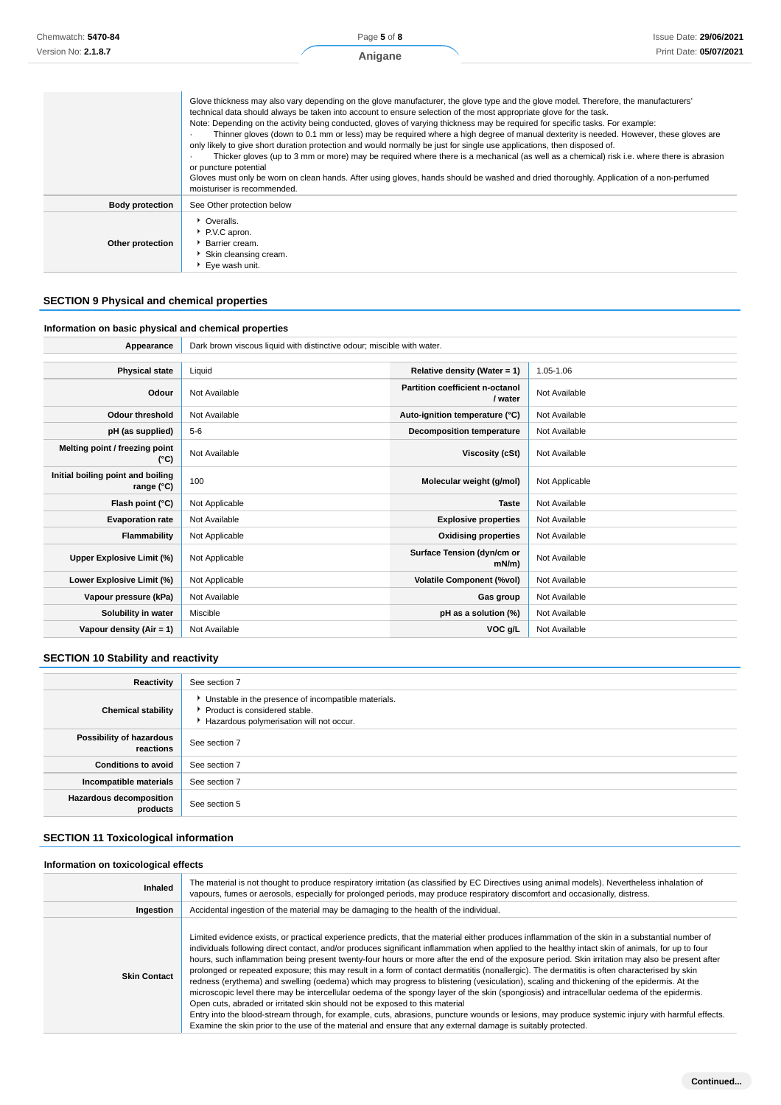| Chemwatch: 5470-84     |                                                                                          | Page 5 of 8                                                                                                                                                                                                                                                                                                                                                                                                                                                                                                                                                                                                                                                                                                                                                                                                                                                                                                                                            |  | <b>Issue Date: 29/06/2021</b> |
|------------------------|------------------------------------------------------------------------------------------|--------------------------------------------------------------------------------------------------------------------------------------------------------------------------------------------------------------------------------------------------------------------------------------------------------------------------------------------------------------------------------------------------------------------------------------------------------------------------------------------------------------------------------------------------------------------------------------------------------------------------------------------------------------------------------------------------------------------------------------------------------------------------------------------------------------------------------------------------------------------------------------------------------------------------------------------------------|--|-------------------------------|
| Version No: 2.1.8.7    |                                                                                          | Anigane                                                                                                                                                                                                                                                                                                                                                                                                                                                                                                                                                                                                                                                                                                                                                                                                                                                                                                                                                |  | Print Date: 05/07/2021        |
|                        | or puncture potential<br>moisturiser is recommended.                                     | Glove thickness may also vary depending on the glove manufacturer, the glove type and the glove model. Therefore, the manufacturers'<br>technical data should always be taken into account to ensure selection of the most appropriate glove for the task.<br>Note: Depending on the activity being conducted, gloves of varying thickness may be required for specific tasks. For example:<br>Thinner gloves (down to 0.1 mm or less) may be required where a high degree of manual dexterity is needed. However, these gloves are<br>only likely to give short duration protection and would normally be just for single use applications, then disposed of.<br>Thicker gloves (up to 3 mm or more) may be required where there is a mechanical (as well as a chemical) risk i.e. where there is abrasion<br>Gloves must only be worn on clean hands. After using gloves, hands should be washed and dried thoroughly. Application of a non-perfumed |  |                               |
| <b>Body protection</b> | See Other protection below                                                               |                                                                                                                                                                                                                                                                                                                                                                                                                                                                                                                                                                                                                                                                                                                                                                                                                                                                                                                                                        |  |                               |
| Other protection       | • Overalls.<br>P.V.C apron.<br>Barrier cream.<br>Skin cleansing cream.<br>Eye wash unit. |                                                                                                                                                                                                                                                                                                                                                                                                                                                                                                                                                                                                                                                                                                                                                                                                                                                                                                                                                        |  |                               |

### **SECTION 9 Physical and chemical properties**

### **Information on basic physical and chemical properties**

| Appearance                                      | Dark brown viscous liquid with distinctive odour; miscible with water. |                                            |                |  |
|-------------------------------------------------|------------------------------------------------------------------------|--------------------------------------------|----------------|--|
|                                                 |                                                                        |                                            |                |  |
| <b>Physical state</b>                           | Liquid                                                                 | Relative density (Water = $1$ )            | 1.05-1.06      |  |
| Odour                                           | Not Available                                                          | Partition coefficient n-octanol<br>/ water | Not Available  |  |
| <b>Odour threshold</b>                          | Not Available                                                          | Auto-ignition temperature (°C)             | Not Available  |  |
| pH (as supplied)                                | $5 - 6$                                                                | <b>Decomposition temperature</b>           | Not Available  |  |
| Melting point / freezing point<br>(°C)          | Not Available                                                          | Viscosity (cSt)                            | Not Available  |  |
| Initial boiling point and boiling<br>range (°C) | 100                                                                    | Molecular weight (g/mol)                   | Not Applicable |  |
| Flash point (°C)                                | Not Applicable                                                         | <b>Taste</b>                               | Not Available  |  |
| <b>Evaporation rate</b>                         | Not Available                                                          | <b>Explosive properties</b>                | Not Available  |  |
| Flammability                                    | Not Applicable                                                         | <b>Oxidising properties</b>                | Not Available  |  |
| Upper Explosive Limit (%)                       | Not Applicable                                                         | Surface Tension (dyn/cm or<br>$mN/m$ )     | Not Available  |  |
| Lower Explosive Limit (%)                       | Not Applicable                                                         | <b>Volatile Component (%vol)</b>           | Not Available  |  |
| Vapour pressure (kPa)                           | Not Available                                                          | Gas group                                  | Not Available  |  |
| Solubility in water                             | Miscible                                                               | pH as a solution (%)                       | Not Available  |  |
| Vapour density (Air = 1)                        | Not Available                                                          | VOC g/L                                    | Not Available  |  |

### **SECTION 10 Stability and reactivity**

| Reactivity                                 | See section 7                                                                                                                        |
|--------------------------------------------|--------------------------------------------------------------------------------------------------------------------------------------|
| <b>Chemical stability</b>                  | • Unstable in the presence of incompatible materials.<br>▶ Product is considered stable.<br>Hazardous polymerisation will not occur. |
| Possibility of hazardous<br>reactions      | See section 7                                                                                                                        |
| <b>Conditions to avoid</b>                 | See section 7                                                                                                                        |
| Incompatible materials                     | See section 7                                                                                                                        |
| <b>Hazardous decomposition</b><br>products | See section 5                                                                                                                        |

### **SECTION 11 Toxicological information**

#### **Information on toxicological effects**

| Inhaled             | The material is not thought to produce respiratory irritation (as classified by EC Directives using animal models). Nevertheless inhalation of<br>vapours, fumes or aerosols, especially for prolonged periods, may produce respiratory discomfort and occasionally, distress.                                                                                                                                                                                                                                                                                                                                                                                                                                                                                                                                                                                                                                                                                                                                                                                                                                                                                                                                                                           |
|---------------------|----------------------------------------------------------------------------------------------------------------------------------------------------------------------------------------------------------------------------------------------------------------------------------------------------------------------------------------------------------------------------------------------------------------------------------------------------------------------------------------------------------------------------------------------------------------------------------------------------------------------------------------------------------------------------------------------------------------------------------------------------------------------------------------------------------------------------------------------------------------------------------------------------------------------------------------------------------------------------------------------------------------------------------------------------------------------------------------------------------------------------------------------------------------------------------------------------------------------------------------------------------|
| Ingestion           | Accidental ingestion of the material may be damaging to the health of the individual.                                                                                                                                                                                                                                                                                                                                                                                                                                                                                                                                                                                                                                                                                                                                                                                                                                                                                                                                                                                                                                                                                                                                                                    |
| <b>Skin Contact</b> | Limited evidence exists, or practical experience predicts, that the material either produces inflammation of the skin in a substantial number of<br>individuals following direct contact, and/or produces significant inflammation when applied to the healthy intact skin of animals, for up to four<br>hours, such inflammation being present twenty-four hours or more after the end of the exposure period. Skin irritation may also be present after<br>prolonged or repeated exposure; this may result in a form of contact dermatitis (nonallergic). The dermatitis is often characterised by skin<br>redness (erythema) and swelling (oedema) which may progress to blistering (vesiculation), scaling and thickening of the epidermis. At the<br>microscopic level there may be intercellular oedema of the spongy layer of the skin (spongiosis) and intracellular oedema of the epidermis.<br>Open cuts, abraded or irritated skin should not be exposed to this material<br>Entry into the blood-stream through, for example, cuts, abrasions, puncture wounds or lesions, may produce systemic injury with harmful effects.<br>Examine the skin prior to the use of the material and ensure that any external damage is suitably protected. |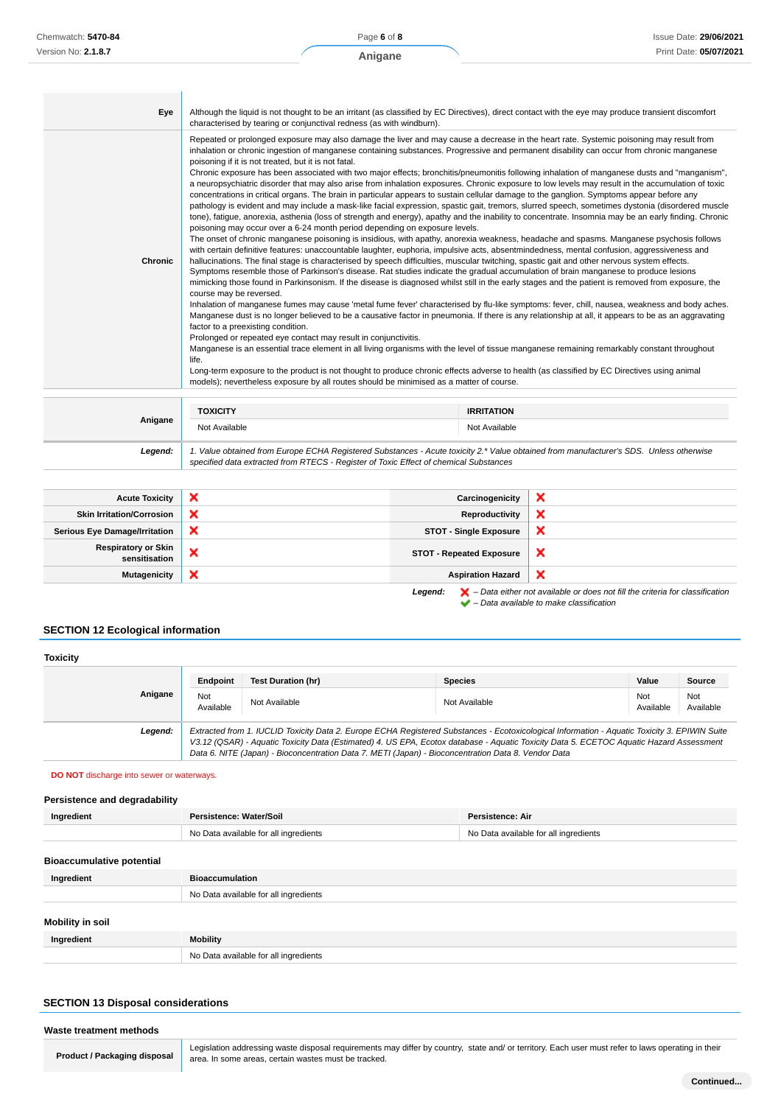| Eye            | Although the liquid is not thought to be an irritant (as classified by EC Directives), direct contact with the eye may produce transient discomfort<br>characterised by tearing or conjunctival redness (as with windburn).                                                                                                                                                                                                                                                                                                                                                                                                                                                                                                                                                                                                                                                                                                                                                                                                                                                                                                                                                                                                                                                                                                                                                                                                                                                                                                                                                                                                                                                                                                                                                                                                                                                                                                                                                                                                                                                                                                                                                                                                                                                                                                                                                                                                                                                                                                                                                                                                                                                                                                                                               |                   |  |
|----------------|---------------------------------------------------------------------------------------------------------------------------------------------------------------------------------------------------------------------------------------------------------------------------------------------------------------------------------------------------------------------------------------------------------------------------------------------------------------------------------------------------------------------------------------------------------------------------------------------------------------------------------------------------------------------------------------------------------------------------------------------------------------------------------------------------------------------------------------------------------------------------------------------------------------------------------------------------------------------------------------------------------------------------------------------------------------------------------------------------------------------------------------------------------------------------------------------------------------------------------------------------------------------------------------------------------------------------------------------------------------------------------------------------------------------------------------------------------------------------------------------------------------------------------------------------------------------------------------------------------------------------------------------------------------------------------------------------------------------------------------------------------------------------------------------------------------------------------------------------------------------------------------------------------------------------------------------------------------------------------------------------------------------------------------------------------------------------------------------------------------------------------------------------------------------------------------------------------------------------------------------------------------------------------------------------------------------------------------------------------------------------------------------------------------------------------------------------------------------------------------------------------------------------------------------------------------------------------------------------------------------------------------------------------------------------------------------------------------------------------------------------------------------------|-------------------|--|
| <b>Chronic</b> | Repeated or prolonged exposure may also damage the liver and may cause a decrease in the heart rate. Systemic poisoning may result from<br>inhalation or chronic ingestion of manganese containing substances. Progressive and permanent disability can occur from chronic manganese<br>poisoning if it is not treated, but it is not fatal.<br>Chronic exposure has been associated with two major effects; bronchitis/pneumonitis following inhalation of manganese dusts and "manganism",<br>a neuropsychiatric disorder that may also arise from inhalation exposures. Chronic exposure to low levels may result in the accumulation of toxic<br>concentrations in critical organs. The brain in particular appears to sustain cellular damage to the ganglion. Symptoms appear before any<br>pathology is evident and may include a mask-like facial expression, spastic gait, tremors, slurred speech, sometimes dystonia (disordered muscle<br>tone), fatigue, anorexia, asthenia (loss of strength and energy), apathy and the inability to concentrate. Insomnia may be an early finding. Chronic<br>poisoning may occur over a 6-24 month period depending on exposure levels.<br>The onset of chronic manganese poisoning is insidious, with apathy, anorexia weakness, headache and spasms. Manganese psychosis follows<br>with certain definitive features: unaccountable laughter, euphoria, impulsive acts, absentmindedness, mental confusion, aggressiveness and<br>hallucinations. The final stage is characterised by speech difficulties, muscular twitching, spastic gait and other nervous system effects.<br>Symptoms resemble those of Parkinson's disease. Rat studies indicate the gradual accumulation of brain manganese to produce lesions<br>mimicking those found in Parkinsonism. If the disease is diagnosed whilst still in the early stages and the patient is removed from exposure, the<br>course may be reversed.<br>Inhalation of manganese fumes may cause 'metal fume fever' characterised by flu-like symptoms: fever, chill, nausea, weakness and body aches.<br>Manganese dust is no longer believed to be a causative factor in pneumonia. If there is any relationship at all, it appears to be as an aggravating<br>factor to a preexisting condition.<br>Prolonged or repeated eye contact may result in conjunctivitis.<br>Manganese is an essential trace element in all living organisms with the level of tissue manganese remaining remarkably constant throughout<br>life.<br>Long-term exposure to the product is not thought to produce chronic effects adverse to health (as classified by EC Directives using animal<br>models); nevertheless exposure by all routes should be minimised as a matter of course. |                   |  |
|                |                                                                                                                                                                                                                                                                                                                                                                                                                                                                                                                                                                                                                                                                                                                                                                                                                                                                                                                                                                                                                                                                                                                                                                                                                                                                                                                                                                                                                                                                                                                                                                                                                                                                                                                                                                                                                                                                                                                                                                                                                                                                                                                                                                                                                                                                                                                                                                                                                                                                                                                                                                                                                                                                                                                                                                           |                   |  |
| Anigane        | <b>TOXICITY</b>                                                                                                                                                                                                                                                                                                                                                                                                                                                                                                                                                                                                                                                                                                                                                                                                                                                                                                                                                                                                                                                                                                                                                                                                                                                                                                                                                                                                                                                                                                                                                                                                                                                                                                                                                                                                                                                                                                                                                                                                                                                                                                                                                                                                                                                                                                                                                                                                                                                                                                                                                                                                                                                                                                                                                           | <b>IRRITATION</b> |  |
|                | Not Available                                                                                                                                                                                                                                                                                                                                                                                                                                                                                                                                                                                                                                                                                                                                                                                                                                                                                                                                                                                                                                                                                                                                                                                                                                                                                                                                                                                                                                                                                                                                                                                                                                                                                                                                                                                                                                                                                                                                                                                                                                                                                                                                                                                                                                                                                                                                                                                                                                                                                                                                                                                                                                                                                                                                                             | Not Available     |  |
| Legend:        | 1. Value obtained from Europe ECHA Registered Substances - Acute toxicity 2.* Value obtained from manufacturer's SDS. Unless otherwise                                                                                                                                                                                                                                                                                                                                                                                                                                                                                                                                                                                                                                                                                                                                                                                                                                                                                                                                                                                                                                                                                                                                                                                                                                                                                                                                                                                                                                                                                                                                                                                                                                                                                                                                                                                                                                                                                                                                                                                                                                                                                                                                                                                                                                                                                                                                                                                                                                                                                                                                                                                                                                    |                   |  |

| <b>Acute Toxicity</b>                       | × | Carcinogenicity                 | $\boldsymbol{\mathsf{x}}$ |
|---------------------------------------------|---|---------------------------------|---------------------------|
| <b>Skin Irritation/Corrosion</b>            | × | Reproductivity                  | $\boldsymbol{\mathsf{x}}$ |
| <b>Serious Eye Damage/Irritation</b>        | × | <b>STOT - Single Exposure</b>   | $\boldsymbol{\mathsf{x}}$ |
| <b>Respiratory or Skin</b><br>sensitisation | ◠ | <b>STOT - Repeated Exposure</b> | $\boldsymbol{\mathsf{x}}$ |
| Mutagenicity                                | × | <b>Aspiration Hazard</b>        | $\boldsymbol{\mathsf{x}}$ |

specified data extracted from RTECS - Register of Toxic Effect of chemical Substances

Legend:  $\blacktriangleright$  - Data either not available or does not fill the criteria for classification  $\blacktriangleright$  – Data available to make classification

### **SECTION 12 Ecological information**

| <b>Toxicity</b> |         |                  |                                                                                                                                                                                                                                                                                                                                                                                                 |                |                  |                  |
|-----------------|---------|------------------|-------------------------------------------------------------------------------------------------------------------------------------------------------------------------------------------------------------------------------------------------------------------------------------------------------------------------------------------------------------------------------------------------|----------------|------------------|------------------|
|                 |         | Endpoint         | <b>Test Duration (hr)</b>                                                                                                                                                                                                                                                                                                                                                                       | <b>Species</b> | Value            | Source           |
|                 | Anigane | Not<br>Available | Not Available                                                                                                                                                                                                                                                                                                                                                                                   | Not Available  | Not<br>Available | Not<br>Available |
|                 | Legend: |                  | Extracted from 1. IUCLID Toxicity Data 2. Europe ECHA Registered Substances - Ecotoxicological Information - Aquatic Toxicity 3. EPIWIN Suite<br>V3.12 (QSAR) - Aquatic Toxicity Data (Estimated) 4. US EPA, Ecotox database - Aquatic Toxicity Data 5. ECETOC Aquatic Hazard Assessment<br>Data 6. NITE (Japan) - Bioconcentration Data 7. METI (Japan) - Bioconcentration Data 8. Vendor Data |                |                  |                  |

#### **DO NOT** discharge into sewer or waterways.

#### **Persistence and degradability**

| Ingredient                       | Persistence: Water/Soil               | Persistence: Air                      |
|----------------------------------|---------------------------------------|---------------------------------------|
|                                  | No Data available for all ingredients | No Data available for all ingredients |
|                                  |                                       |                                       |
| <b>Bioaccumulative potential</b> |                                       |                                       |
| Ingredient                       | <b>Bioaccumulation</b>                |                                       |
|                                  | No Data available for all ingredients |                                       |
|                                  |                                       |                                       |
| Mobility in soil                 |                                       |                                       |
| Ingredient                       | <b>Mobility</b>                       |                                       |
|                                  | No Data available for all ingredients |                                       |
|                                  |                                       |                                       |

### **SECTION 13 Disposal considerations**

#### **Waste treatment methods**

**Product / Packaging disposal**

Legislation addressing waste disposal requirements may differ by country, state and/ or territory. Each user must refer to laws operating in their area. In some areas, certain wastes must be tracked.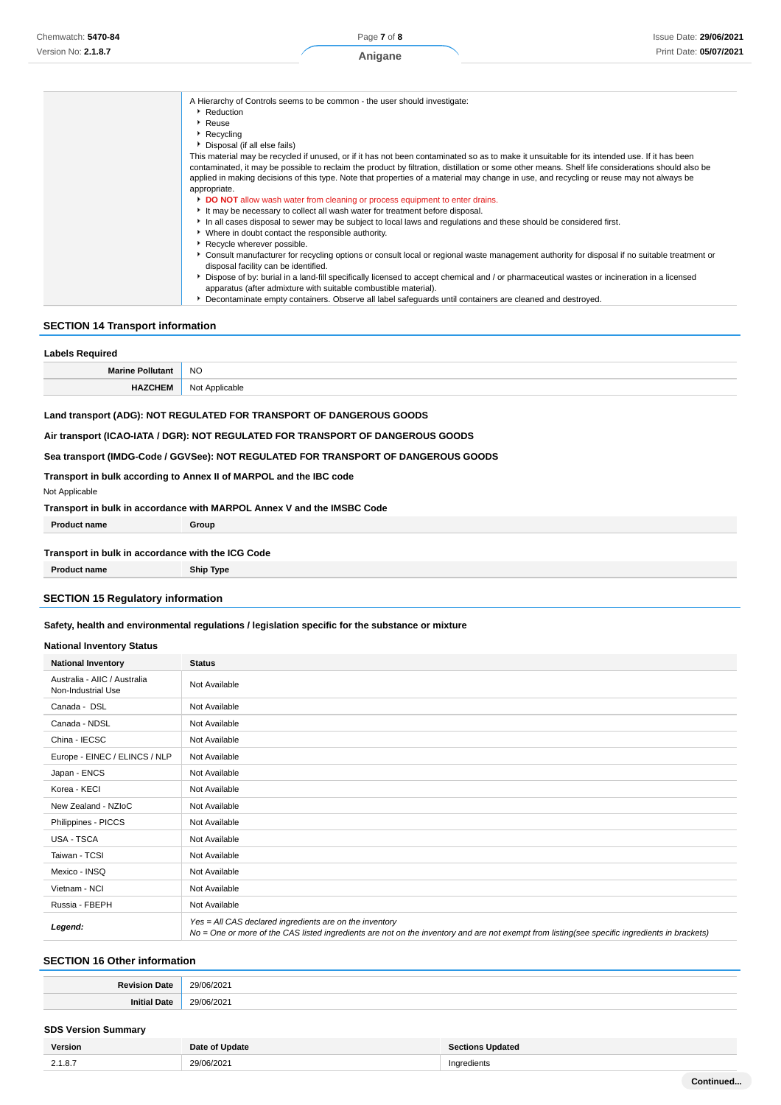| A Hierarchy of Controls seems to be common - the user should investigate:<br>Reduction                                                            |
|---------------------------------------------------------------------------------------------------------------------------------------------------|
| $\blacktriangleright$ Reuse                                                                                                                       |
| $\blacktriangleright$ Recycling                                                                                                                   |
| ▶ Disposal (if all else fails)                                                                                                                    |
| This material may be recycled if unused, or if it has not been contaminated so as to make it unsuitable for its intended use. If it has been      |
| contaminated, it may be possible to reclaim the product by filtration, distillation or some other means. Shelf life considerations should also be |
| applied in making decisions of this type. Note that properties of a material may change in use, and recycling or reuse may not always be          |
| appropriate.                                                                                                                                      |
| <b>DO NOT</b> allow wash water from cleaning or process equipment to enter drains.                                                                |
| It may be necessary to collect all wash water for treatment before disposal.                                                                      |
|                                                                                                                                                   |
| In all cases disposal to sewer may be subject to local laws and regulations and these should be considered first.                                 |
| • Where in doubt contact the responsible authority.                                                                                               |
| Recycle wherever possible.                                                                                                                        |
| ► Consult manufacturer for recycling options or consult local or regional waste management authority for disposal if no suitable treatment or     |
| disposal facility can be identified.                                                                                                              |
| Dispose of by: burial in a land-fill specifically licensed to accept chemical and / or pharmaceutical wastes or incineration in a licensed        |
| apparatus (after admixture with suitable combustible material).                                                                                   |
| Decontaminate empty containers. Observe all label safeguards until containers are cleaned and destroyed.                                          |

### **SECTION 14 Transport information**

| <b>Labels Required</b>  |                |  |
|-------------------------|----------------|--|
| <b>Marine Pollutant</b> | <b>NO</b>      |  |
| <b>HAZCHEM</b>          | Not Applicable |  |

### **Land transport (ADG): NOT REGULATED FOR TRANSPORT OF DANGEROUS GOODS**

**Air transport (ICAO-IATA / DGR): NOT REGULATED FOR TRANSPORT OF DANGEROUS GOODS**

#### **Sea transport (IMDG-Code / GGVSee): NOT REGULATED FOR TRANSPORT OF DANGEROUS GOODS**

### **Transport in bulk according to Annex II of MARPOL and the IBC code**

Not Applicable

**Transport in bulk in accordance with MARPOL Annex V and the IMSBC Code**

**Product name Group** 

### **Transport in bulk in accordance with the ICG Code**

**Product name Ship Type** 

### **SECTION 15 Regulatory information**

### **Safety, health and environmental regulations / legislation specific for the substance or mixture**

#### **National Inventory Status**

| <b>National Inventory</b>                          | <b>Status</b>                                                                                                                                                                                            |
|----------------------------------------------------|----------------------------------------------------------------------------------------------------------------------------------------------------------------------------------------------------------|
| Australia - AIIC / Australia<br>Non-Industrial Use | Not Available                                                                                                                                                                                            |
| Canada - DSL                                       | Not Available                                                                                                                                                                                            |
| Canada - NDSL                                      | Not Available                                                                                                                                                                                            |
| China - IECSC                                      | Not Available                                                                                                                                                                                            |
| Europe - EINEC / ELINCS / NLP                      | Not Available                                                                                                                                                                                            |
| Japan - ENCS                                       | Not Available                                                                                                                                                                                            |
| Korea - KECI                                       | Not Available                                                                                                                                                                                            |
| New Zealand - NZIoC                                | Not Available                                                                                                                                                                                            |
| Philippines - PICCS                                | Not Available                                                                                                                                                                                            |
| USA - TSCA                                         | Not Available                                                                                                                                                                                            |
| Taiwan - TCSI                                      | Not Available                                                                                                                                                                                            |
| Mexico - INSQ                                      | Not Available                                                                                                                                                                                            |
| Vietnam - NCI                                      | Not Available                                                                                                                                                                                            |
| Russia - FBEPH                                     | Not Available                                                                                                                                                                                            |
| Legend:                                            | Yes = All CAS declared ingredients are on the inventory<br>No = One or more of the CAS listed ingredients are not on the inventory and are not exempt from listing(see specific ingredients in brackets) |

### **SECTION 16 Other information**

| . .<br>аце | $\cdot$<br>$\sim$<br>uz |
|------------|-------------------------|
| 39 C       | י הי<br>$\sim$ $\sim$   |

#### **SDS Version Summary**

| Version | Date of Update | <b>Sections Updated</b> |
|---------|----------------|-------------------------|
| 2.1.8.7 | 29/06/2021     | Ingredients             |